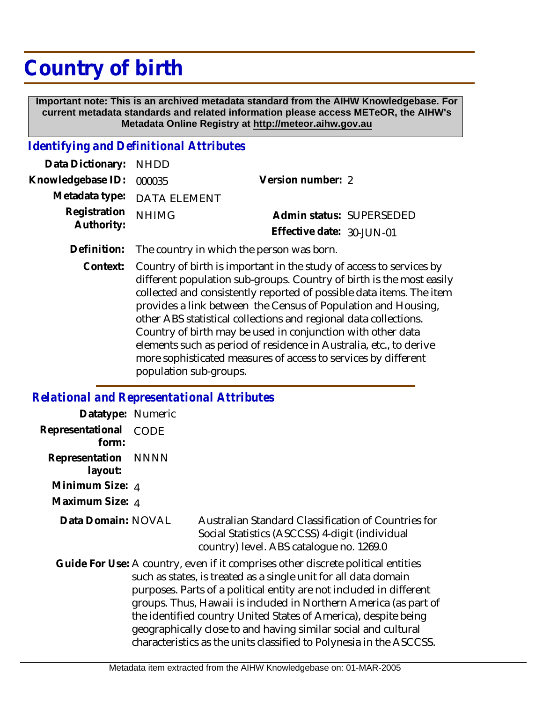## **Country of birth**

 **Important note: This is an archived metadata standard from the AIHW Knowledgebase. For current metadata standards and related information please access METeOR, the AIHW's Metadata Online Registry at http://meteor.aihw.gov.au**

## *Identifying and Definitional Attributes*

| Data Dictionary: NHDD    |                             |                           |  |
|--------------------------|-----------------------------|---------------------------|--|
| Knowledgebase ID: 000035 |                             | Version number: 2         |  |
|                          | Metadata type: DATA ELEMENT |                           |  |
| Registration NHIMG       |                             | Admin status: SUPERSEDED  |  |
| Authority:               |                             | Effective date: 30-JUN-01 |  |
|                          |                             |                           |  |

- **Definition:** The country in which the person was born.
	- Country of birth is important in the study of access to services by different population sub-groups. Country of birth is the most easily collected and consistently reported of possible data items. The item provides a link between the Census of Population and Housing, other ABS statistical collections and regional data collections. Country of birth may be used in conjunction with other data elements such as period of residence in Australia, etc., to derive more sophisticated measures of access to services by different population sub-groups. **Context:**

## *Relational and Representational Attributes*

| Datatype: Numeric         |             |                                                                                                                                                                                                                                                                                                                                                                                                                                                                                                            |
|---------------------------|-------------|------------------------------------------------------------------------------------------------------------------------------------------------------------------------------------------------------------------------------------------------------------------------------------------------------------------------------------------------------------------------------------------------------------------------------------------------------------------------------------------------------------|
| Representational<br>form: | <b>CODE</b> |                                                                                                                                                                                                                                                                                                                                                                                                                                                                                                            |
| Representation<br>layout: | NNNN        |                                                                                                                                                                                                                                                                                                                                                                                                                                                                                                            |
| Minimum Size: 4           |             |                                                                                                                                                                                                                                                                                                                                                                                                                                                                                                            |
| Maximum Size: 4           |             |                                                                                                                                                                                                                                                                                                                                                                                                                                                                                                            |
| Data Domain: NOVAL        |             | Australian Standard Classification of Countries for<br>Social Statistics (ASCCSS) 4-digit (individual<br>country) level. ABS catalogue no. 1269.0                                                                                                                                                                                                                                                                                                                                                          |
|                           |             | Guide For Use: A country, even if it comprises other discrete political entities<br>such as states, is treated as a single unit for all data domain<br>purposes. Parts of a political entity are not included in different<br>groups. Thus, Hawaii is included in Northern America (as part of<br>the identified country United States of America), despite being<br>geographically close to and having similar social and cultural<br>characteristics as the units classified to Polynesia in the ASCCSS. |